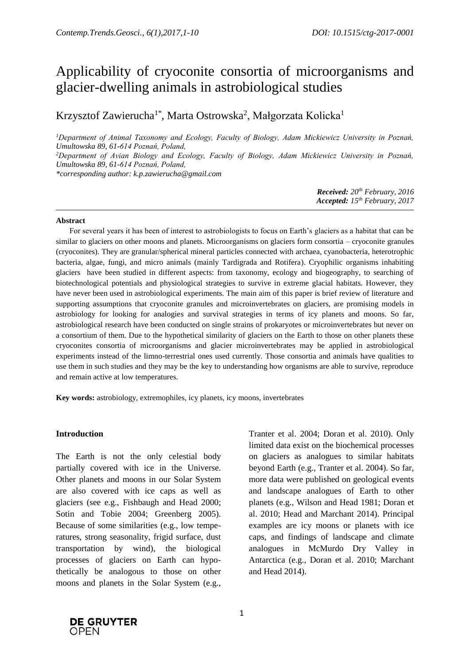# Applicability of cryoconite consortia of microorganisms and glacier-dwelling animals in astrobiological studies

Krzysztof Zawierucha<sup>1\*</sup>, Marta Ostrowska<sup>2</sup>, Małgorzata Kolicka<sup>1</sup>

*<sup>1</sup>Department of Animal Taxonomy and Ecology, Faculty of Biology, Adam Mickiewicz University in Poznań, Umultowska 89, 61-614 Poznań, Poland,* 

*<sup>2</sup>Department of Avian Biology and Ecology, Faculty of Biology, Adam Mickiewicz University in Poznań, Umultowska 89, 61-614 Poznań, Poland,*

*\*corresponding author: k.p.zawierucha@gmail.com*

*Received: 20th February, 2016 Accepted: 15th February, 2017*

#### **Abstract**

For several years it has been of interest to astrobiologists to focus on Earth's glaciers as a habitat that can be similar to glaciers on other moons and planets. Microorganisms on glaciers form consortia – cryoconite granules (cryoconites). They are granular/spherical mineral particles connected with archaea, cyanobacteria, heterotrophic bacteria, algae, fungi, and micro animals (mainly Tardigrada and Rotifera). Cryophilic organisms inhabiting glaciers have been studied in different aspects: from taxonomy, ecology and biogeography, to searching of biotechnological potentials and physiological strategies to survive in extreme glacial habitats. However, they have never been used in astrobiological experiments. The main aim of this paper is brief review of literature and supporting assumptions that cryoconite granules and microinvertebrates on glaciers, are promising models in astrobiology for looking for analogies and survival strategies in terms of icy planets and moons. So far, astrobiological research have been conducted on single strains of prokaryotes or microinvertebrates but never on a consortium of them. Due to the hypothetical similarity of glaciers on the Earth to those on other planets these cryoconites consortia of microorganisms and glacier microinvertebrates may be applied in astrobiological experiments instead of the limno-terrestrial ones used currently. Those consortia and animals have qualities to use them in such studies and they may be the key to understanding how organisms are able to survive, reproduce and remain active at low temperatures.

**Key words:** astrobiology, extremophiles, icy planets, icy moons, invertebrates

#### **Introduction**

The Earth is not the only celestial body partially covered with ice in the Universe. Other planets and moons in our Solar System are also covered with ice caps as well as glaciers (see e.g., Fishbaugh and Head 2000; Sotin and Tobie 2004; Greenberg 2005). Because of some similarities (e.g., low temperatures, strong seasonality, frigid surface, dust transportation by wind), the biological processes of glaciers on Earth can hypothetically be analogous to those on other moons and planets in the Solar System (e.g.,

Tranter et al. 2004; Doran et al. 2010). Only limited data exist on the biochemical processes on glaciers as analogues to similar habitats beyond Earth (e.g., Tranter et al. 2004). So far, more data were published on geological events and landscape analogues of Earth to other planets (e.g., Wilson and Head 1981; Doran et al. 2010; Head and Marchant 2014). Principal examples are icy moons or planets with ice caps, and findings of landscape and climate analogues in McMurdo Dry Valley in Antarctica (e.g., Doran et al. 2010; Marchant and Head 2014).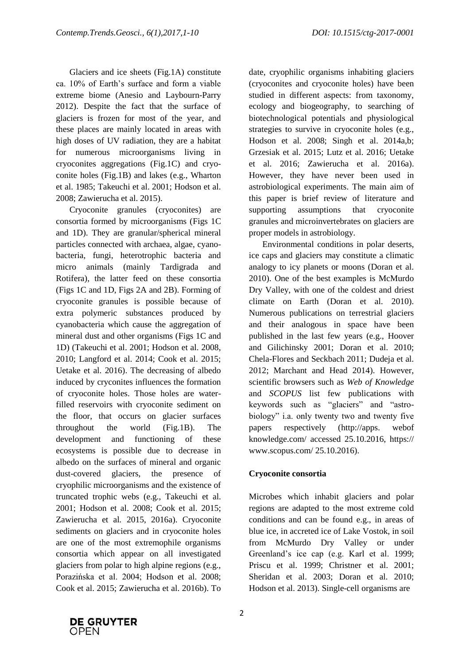Glaciers and ice sheets (Fig.1A) constitute ca. 10% of Earth's surface and form a viable extreme biome (Anesio and Laybourn-Parry 2012). Despite the fact that the surface of glaciers is frozen for most of the year, and these places are mainly located in areas with high doses of UV radiation, they are a habitat for numerous microorganisms living in cryoconites aggregations (Fig.1C) and cryoconite holes (Fig.1B) and lakes (e.g., Wharton et al. 1985; Takeuchi et al. 2001; Hodson et al. 2008; Zawierucha et al. 2015).

Cryoconite granules (cryoconites) are consortia formed by microorganisms (Figs 1C and 1D). They are granular/spherical mineral particles connected with archaea, algae, cyanobacteria, fungi, heterotrophic bacteria and micro animals (mainly Tardigrada and Rotifera), the latter feed on these consortia (Figs 1C and 1D, Figs 2A and 2B). Forming of cryoconite granules is possible because of extra polymeric substances produced by cyanobacteria which cause the aggregation of mineral dust and other organisms (Figs 1C and 1D) (Takeuchi et al. 2001; Hodson et al. 2008, 2010; Langford et al. 2014; Cook et al. 2015; Uetake et al. 2016). The decreasing of albedo induced by cryconites influences the formation of cryoconite holes. Those holes are waterfilled reservoirs with cryoconite sediment on the floor, that occurs on glacier surfaces throughout the world (Fig.1B). The development and functioning of these ecosystems is possible due to decrease in albedo on the surfaces of mineral and organic dust-covered glaciers, the presence of cryophilic microorganisms and the existence of truncated trophic webs (e.g., Takeuchi et al. 2001; Hodson et al. 2008; Cook et al. 2015; Zawierucha et al*.* 2015, 2016a). Cryoconite sediments on glaciers and in cryoconite holes are one of the most extremophile organisms consortia which appear on all investigated glaciers from polar to high alpine regions (e.g., Porazińska et al. 2004; Hodson et al. 2008; Cook et al. 2015; Zawierucha et al. 2016b). To

date, cryophilic organisms inhabiting glaciers (cryoconites and cryoconite holes) have been studied in different aspects: from taxonomy, ecology and biogeography, to searching of biotechnological potentials and physiological strategies to survive in cryoconite holes (e.g., Hodson et al. 2008; Singh et al. 2014a,b; Grzesiak et al. 2015; Lutz et al. 2016; Uetake et al. 2016; Zawierucha et al. 2016a). However, they have never been used in astrobiological experiments. The main aim of this paper is brief review of literature and supporting assumptions that cryoconite granules and microinvertebrates on glaciers are proper models in astrobiology.

Environmental conditions in polar deserts, ice caps and glaciers may constitute a climatic analogy to icy planets or moons (Doran et al. 2010). One of the best examples is McMurdo Dry Valley, with one of the coldest and driest climate on Earth (Doran et al. 2010). Numerous publications on terrestrial glaciers and their analogous in space have been published in the last few years (e.g., Hoover and Gilichinsky 2001; Doran et al. 2010; Chela-Flores and Seckbach 2011; Dudeja et al. 2012; Marchant and Head 2014). However, scientific browsers such as *Web of Knowledge* and *SCOPUS* list few publications with keywords such as "glaciers" and "astrobiology" i.a. only twenty two and twenty five papers respectively (http://apps. webof knowledge.com/ accessed 25.10.2016, https:// www.scopus.com/ 25.10.2016).

## **Cryoconite consortia**

Microbes which inhabit glaciers and polar regions are adapted to the most extreme cold conditions and can be found e.g., in areas of blue ice, in accreted ice of Lake Vostok, in soil from McMurdo Dry Valley or under Greenland's ice cap (e.g. Karl et al. 1999; Priscu et al. 1999; Christner et al. 2001; Sheridan et al. 2003; Doran et al. 2010; Hodson et al. 2013). Single-cell organisms are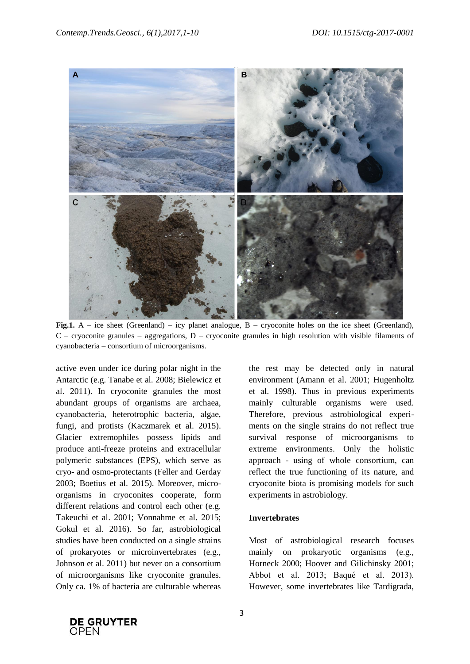

**Fig.1.** A – ice sheet (Greenland) – icy planet analogue, B – cryoconite holes on the ice sheet (Greenland),  $C$  – cryoconite granules – aggregations,  $D$  – cryoconite granules in high resolution with visible filaments of cyanobacteria – consortium of microorganisms.

active even under ice during polar night in the Antarctic (e.g. Tanabe et al. 2008; Bielewicz et al. 2011). In cryoconite granules the most abundant groups of organisms are archaea, cyanobacteria, heterotrophic bacteria, algae, fungi, and protists (Kaczmarek et al. 2015). Glacier extremophiles possess lipids and produce anti-freeze proteins and extracellular polymeric substances (EPS), which serve as cryo- and osmo-protectants (Feller and Gerday 2003; Boetius et al. 2015). Moreover, microorganisms in cryoconites cooperate, form different relations and control each other (e.g. Takeuchi et al. 2001; Vonnahme et al. 2015; Gokul et al. 2016). So far, astrobiological studies have been conducted on a single strains of prokaryotes or microinvertebrates (e.g., Johnson et al. 2011) but never on a consortium of microorganisms like cryoconite granules. Only ca. 1% of bacteria are culturable whereas the rest may be detected only in natural environment (Amann et al. 2001; Hugenholtz et al. 1998). Thus in previous experiments mainly culturable organisms were used. Therefore, previous astrobiological experiments on the single strains do not reflect true survival response of microorganisms to extreme environments. Only the holistic approach - using of whole consortium, can reflect the true functioning of its nature, and cryoconite biota is promising models for such experiments in astrobiology.

#### **Invertebrates**

Most of astrobiological research focuses mainly on prokaryotic organisms (e.g., Horneck 2000; Hoover and Gilichinsky 2001; Abbot et al. 2013; Baqué et al. 2013). However, some invertebrates like Tardigrada,

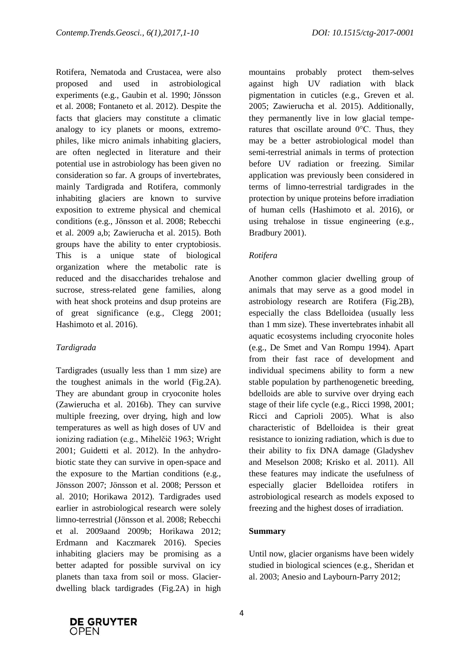Rotifera, Nematoda and Crustacea, were also proposed and used in astrobiological experiments (e.g., Gaubin et al. 1990; Jönsson et al. 2008; Fontaneto et al. 2012). Despite the facts that glaciers may constitute a climatic analogy to icy planets or moons, extremophiles, like micro animals inhabiting glaciers, are often neglected in literature and their potential use in astrobiology has been given no consideration so far. A groups of invertebrates, mainly Tardigrada and Rotifera, commonly inhabiting glaciers are known to survive exposition to extreme physical and chemical conditions (e.g., Jönsson et al. 2008; Rebecchi et al. 2009 a,b; Zawierucha et al. 2015). Both groups have the ability to enter cryptobiosis. This is a unique state of biological organization where the metabolic rate is reduced and the disaccharides trehalose and sucrose, stress-related gene families, along with heat shock proteins and dsup proteins are of great significance (e.g., Clegg 2001; Hashimoto et al. 2016).

## *Tardigrada*

Tardigrades (usually less than 1 mm size) are the toughest animals in the world (Fig.2A). They are abundant group in cryoconite holes (Zawierucha et al. 2016b). They can survive multiple freezing, over drying, high and low temperatures as well as high doses of UV and ionizing radiation (e.g., Mihelčič 1963; Wright 2001; Guidetti et al. 2012). In the anhydrobiotic state they can survive in open-space and the exposure to the Martian conditions (e.g., Jönsson 2007; Jönsson et al. 2008; Persson et al. 2010; Horikawa 2012). Tardigrades used earlier in astrobiological research were solely limno-terrestrial (Jönsson et al. 2008; Rebecchi et al. 2009aand 2009b; Horikawa 2012; Erdmann and Kaczmarek 2016). Species inhabiting glaciers may be promising as a better adapted for possible survival on icy planets than taxa from soil or moss. Glacierdwelling black tardigrades (Fig.2A) in high mountains probably protect them-selves against high UV radiation with black pigmentation in cuticles (e.g., Greven et al. 2005; Zawierucha et al. 2015). Additionally, they permanently live in low glacial temperatures that oscillate around 0°C. Thus, they may be a better astrobiological model than semi-terrestrial animals in terms of protection before UV radiation or freezing. Similar application was previously been considered in terms of limno-terrestrial tardigrades in the protection by unique proteins before irradiation of human cells (Hashimoto et al. 2016), or using trehalose in tissue engineering (e.g., Bradbury 2001).

# *Rotifera*

Another common glacier dwelling group of animals that may serve as a good model in astrobiology research are Rotifera (Fig.2B), especially the class Bdelloidea (usually less than 1 mm size). These invertebrates inhabit all aquatic ecosystems including cryoconite holes (e.g., De Smet and Van Rompu 1994). Apart from their fast race of development and individual specimens ability to form a new stable population by parthenogenetic breeding, bdelloids are able to survive over drying each stage of their life cycle (e.g., Ricci 1998, 2001; Ricci and Caprioli 2005). What is also characteristic of Bdelloidea is their great resistance to ionizing radiation, which is due to their ability to fix DNA damage (Gladyshev and Meselson 2008; Krisko et al. 2011). All these features may indicate the usefulness of especially glacier Bdelloidea rotifers in astrobiological research as models exposed to freezing and the highest doses of irradiation.

## **Summary**

Until now, glacier organisms have been widely studied in biological sciences (e.g., Sheridan et al. 2003; Anesio and Laybourn-Parry 2012;

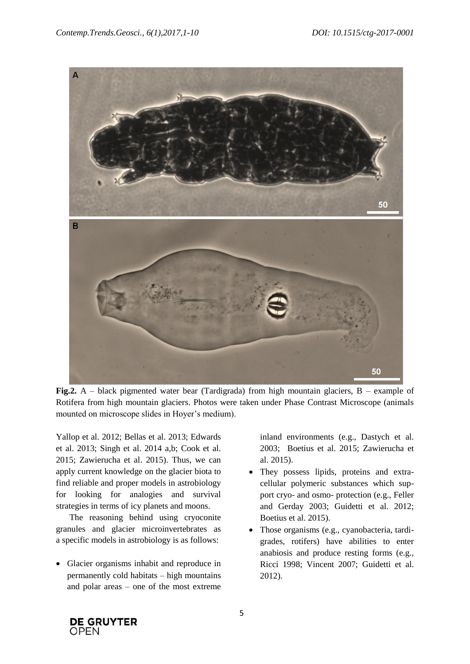

**Fig.2.** A – black pigmented water bear (Tardigrada) from high mountain glaciers, B – example of Rotifera from high mountain glaciers. Photos were taken under Phase Contrast Microscope (animals mounted on microscope slides in Hoyer's medium).

Yallop et al. 2012; Bellas et al. 2013; Edwards et al. 2013; Singh et al. 2014 a,b; Cook et al. 2015; Zawierucha et al. 2015). Thus, we can apply current knowledge on the glacier biota to find reliable and proper models in astrobiology for looking for analogies and survival strategies in terms of icy planets and moons.

The reasoning behind using cryoconite granules and glacier microinvertebrates as a specific models in astrobiology is as follows:

 Glacier organisms inhabit and reproduce in permanently cold habitats – high mountains and polar areas – one of the most extreme inland environments (e.g., Dastych et al. 2003; Boetius et al. 2015; Zawierucha et al. 2015).

- They possess lipids, proteins and extracellular polymeric substances which support cryo- and osmo- protection (e.g., Feller and Gerday 2003; Guidetti et al. 2012; Boetius et al. 2015).
- Those organisms (e.g., cyanobacteria, tardigrades, rotifers) have abilities to enter anabiosis and produce resting forms (e.g., Ricci 1998; Vincent 2007; Guidetti et al. 2012).

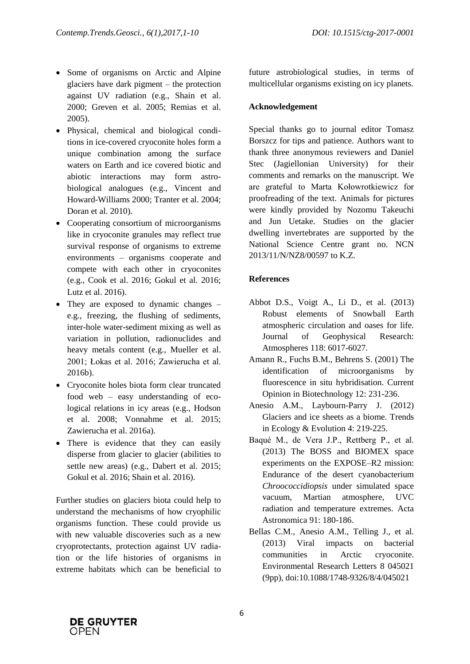- Some of organisms on Arctic and Alpine glaciers have dark pigment – the protection against UV radiation (e.g., Shain et al. 2000; Greven et al. 2005; Remias et al. 2005).
- Physical, chemical and biological conditions in ice-covered cryoconite holes form a unique combination among the surface waters on Earth and ice covered biotic and abiotic interactions may form astrobiological analogues (e.g., Vincent and Howard-Williams 2000; Tranter et al. 2004; Doran et al. 2010).
- Cooperating consortium of microorganisms like in cryoconite granules may reflect true survival response of organisms to extreme environments – organisms cooperate and compete with each other in cryoconites (e.g., Cook et al. 2016; Gokul et al. 2016; Lutz et al. 2016).
- They are exposed to dynamic changes e.g., freezing, the flushing of sediments, inter-hole water-sediment mixing as well as variation in pollution, radionuclides and heavy metals content (e.g., Mueller et al. 2001; Łokas et al. 2016; Zawierucha et al. 2016b).
- Cryoconite holes biota form clear truncated food web – easy understanding of ecological relations in icy areas (e.g., Hodson et al. 2008; Vonnahme et al. 2015; Zawierucha et al. 2016a).
- There is evidence that they can easily disperse from glacier to glacier (abilities to settle new areas) (e.g., Dabert et al. 2015; Gokul et al. 2016; Shain et al. 2016).

Further studies on glaciers biota could help to understand the mechanisms of how cryophilic organisms function. These could provide us with new valuable discoveries such as a new cryoprotectants, protection against UV radiation or the life histories of organisms in extreme habitats which can be beneficial to future astrobiological studies, in terms of multicellular organisms existing on icy planets.

# **Acknowledgement**

Special thanks go to journal editor Tomasz Borszcz for tips and patience. Authors want to thank three anonymous reviewers and Daniel Stec (Jagiellonian University) for their comments and remarks on the manuscript. We are grateful to Marta Kołowrotkiewicz for proofreading of the text. Animals for pictures were kindly provided by Nozomu Takeuchi and Jun Uetake. Studies on the glacier dwelling invertebrates are supported by the National Science Centre grant no. NCN 2013/11/N/NZ8/00597 to K.Z.

# **References**

- Abbot D.S., Voigt A., Li D., et al. (2013) Robust elements of Snowball Earth atmospheric circulation and oases for life. Journal of Geophysical Research: Atmospheres 118: 6017-6027.
- Amann R., Fuchs B.M., Behrens S. (2001) The identification of microorganisms by fluorescence in situ hybridisation. Current Opinion in Biotechnology 12: 231-236.
- Anesio A.M., Laybourn-Parry J. (2012) Glaciers and ice sheets as a biome. Trends in Ecology & Evolution 4: 219-225.
- Baqué M., de Vera J.P., Rettberg P., et al. (2013) The BOSS and BIOMEX space experiments on the EXPOSE–R2 mission: Endurance of the desert cyanobacterium *Chroococcidiopsis* under simulated space vacuum, Martian atmosphere, UVC radiation and temperature extremes. Acta Astronomica 91: 180-186.
- Bellas C.M., Anesio A.M., Telling J., et al. (2013) Viral impacts on bacterial communities in Arctic cryoconite. Environmental Research Letters 8 045021 (9pp), doi:10.1088/1748-9326/8/4/045021

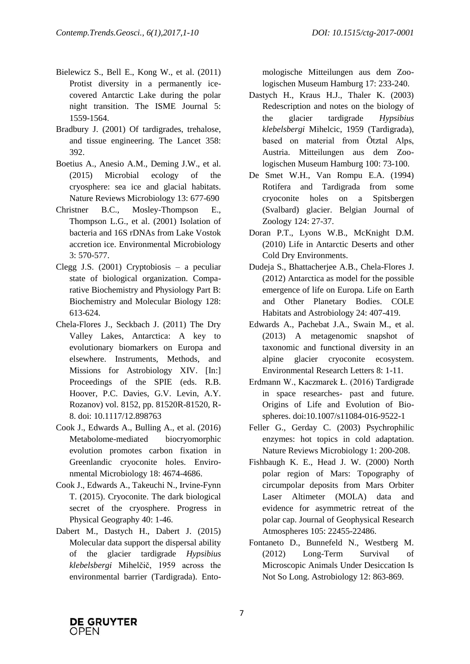- Bielewicz S., Bell E., Kong W., et al. (2011) Protist diversity in a permanently icecovered Antarctic Lake during the polar night transition. The ISME Journal 5: 1559-1564.
- Bradbury J. (2001) Of tardigrades, trehalose, and tissue engineering. The Lancet 358: 392.
- Boetius A., Anesio A.M., Deming J.W., et al. (2015) Microbial ecology of the cryosphere: sea ice and glacial habitats. Nature Reviews Microbiology 13: 677-690
- Christner B.C., Mosley-Thompson E., Thompson L.G., et al. (2001) Isolation of bacteria and 16S rDNAs from Lake Vostok accretion ice. Environmental Microbiology 3: 570-577.
- Clegg J.S. (2001) Cryptobiosis a peculiar state of biological organization. Comparative Biochemistry and Physiology Part B: Biochemistry and Molecular Biology 128: 613-624.
- Chela-Flores J., Seckbach J. (2011) The Dry Valley Lakes, Antarctica: A key to evolutionary biomarkers on Europa and elsewhere. Instruments, Methods, and Missions for Astrobiology XIV. [In:] Proceedings of the SPIE (eds. R.B. Hoover, P.C. Davies, G.V. Levin, A.Y. Rozanov) vol. 8152, pp. 81520R-81520, R-8. doi: 10.1117/12.898763
- Cook J., Edwards A., Bulling A., et al. (2016) Metabolome-mediated biocryomorphic evolution promotes carbon fixation in Greenlandic cryoconite holes. Environmental Microbiology 18: 4674-4686.
- Cook J., Edwards A., Takeuchi N., Irvine-Fynn T. (2015). Cryoconite. The dark biological secret of the cryosphere. Progress in Physical Geography 40: 1-46.
- Dabert M., Dastych H., Dabert J. (2015) Molecular data support the dispersal ability of the glacier tardigrade *Hypsibius klebelsbergi* Mihelčič, 1959 across the environmental barrier (Tardigrada). Ento-

mologische Mitteilungen aus dem Zoologischen Museum Hamburg 17: 233-240.

- Dastych H., Kraus H.J., Thaler K. (2003) Redescription and notes on the biology of the glacier tardigrade *Hypsibius klebelsbergi* Mihelcic, 1959 (Tardigrada), based on material from Ötztal Alps, Austria. Mitteilungen aus dem Zoologischen Museum Hamburg 100: 73-100.
- De Smet W.H., Van Rompu E.A. (1994) Rotifera and Tardigrada from some cryoconite holes on a Spitsbergen (Svalbard) glacier. Belgian Journal of Zoology 124: 27-37.
- Doran P.T., Lyons W.B., McKnight D.M. (2010) Life in Antarctic Deserts and other Cold Dry Environments.
- Dudeja S., Bhattacherjee A.B., Chela-Flores J. (2012) Antarctica as model for the possible emergence of life on Europa. Life on Earth and Other Planetary Bodies. COLE Habitats and Astrobiology 24: 407-419.
- Edwards A., Pachebat J.A., Swain M., et al. (2013) A metagenomic snapshot of taxonomic and functional diversity in an alpine glacier cryoconite ecosystem. Environmental Research Letters 8: 1-11.
- Erdmann W., Kaczmarek Ł. (2016) Tardigrade in space researches- past and future. Origins of Life and Evolution of Biospheres. doi:10.1007/s11084-016-9522-1
- Feller G., Gerday C. (2003) Psychrophilic enzymes: hot topics in cold adaptation. Nature Reviews Microbiology 1: 200-208.
- Fishbaugh K. E., Head J. W. (2000) North polar region of Mars: Topography of circumpolar deposits from Mars Orbiter Laser Altimeter (MOLA) data and evidence for asymmetric retreat of the polar cap. Journal of Geophysical Research Atmospheres 105: 22455-22486.
- Fontaneto D., Bunnefeld N., Westberg M. (2012) Long-Term Survival of Microscopic Animals Under Desiccation Is Not So Long. Astrobiology 12: 863-869.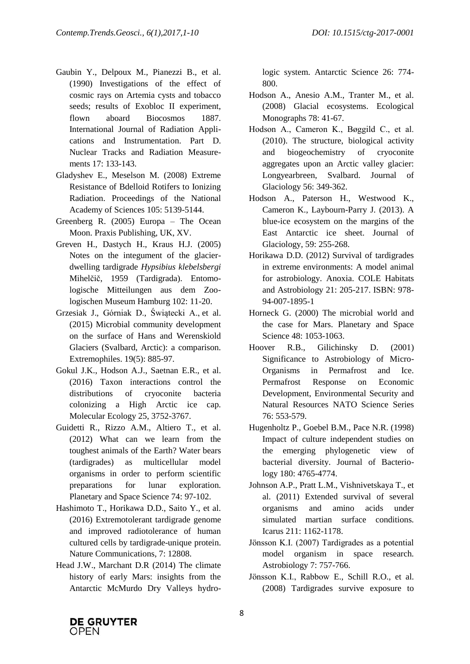- Gaubin Y., Delpoux M., Pianezzi B., et al. (1990) Investigations of the effect of cosmic rays on Artemia cysts and tobacco seeds; results of Exobloc II experiment, flown aboard Biocosmos 1887. International Journal of Radiation Applications and Instrumentation. Part D. Nuclear Tracks and Radiation Measurements 17: 133-143.
- Gladyshev E., Meselson M. (2008) Extreme Resistance of Bdelloid Rotifers to Ionizing Radiation. Proceedings of the National Academy of Sciences 105: 5139-5144.
- Greenberg R. (2005) Europa The Ocean Moon. Praxis Publishing, UK, XV.
- Greven H., Dastych H., Kraus H.J. (2005) Notes on the integument of the glacierdwelling tardigrade *Hypsibius klebelsbergi* Mihelčič, 1959 (Tardigrada). Entomologische Mitteilungen aus dem Zoologischen Museum Hamburg 102: 11-20.
- Grzesiak J., Górniak D., Świątecki A., et al. (2015) Microbial community development on the surface of Hans and Werenskiold Glaciers (Svalbard, Arctic): a comparison. Extremophiles. 19(5): 885-97.
- Gokul J.K., Hodson A.J., Saetnan E.R., et al. (2016) Taxon interactions control the distributions of cryoconite bacteria colonizing a High Arctic ice cap. Molecular Ecology 25, 3752-3767.
- Guidetti R., Rizzo A.M., Altiero T., et al. (2012) What can we learn from the toughest animals of the Earth? Water bears (tardigrades) as multicellular model organisms in order to perform scientific preparations for lunar exploration. Planetary and Space Science 74: 97-102.
- Hashimoto T., Horikawa D.D., Saito Y., et al. (2016) Extremotolerant tardigrade genome and improved radiotolerance of human cultured cells by tardigrade-unique protein. Nature Communications, 7: 12808.
- Head J.W., Marchant D.R (2014) The climate history of early Mars: insights from the Antarctic McMurdo Dry Valleys hydro-

logic system. Antarctic Science 26: 774- 800.

- Hodson A., Anesio A.M., Tranter M., et al. (2008) Glacial ecosystems. Ecological Monographs 78: 41-67.
- Hodson A., Cameron K., Bøggild C., et al. (2010). The structure, biological activity and biogeochemistry of cryoconite aggregates upon an Arctic valley glacier: Longyearbreen, Svalbard. Journal of Glaciology 56: 349-362.
- Hodson A., Paterson H., Westwood K., Cameron K., Laybourn-Parry J. (2013). A blue-ice ecosystem on the margins of the East Antarctic ice sheet. Journal of Glaciology, 59: 255-268.
- Horikawa D.D. (2012) Survival of tardigrades in extreme environments: A model animal for astrobiology. Anoxia. COLE Habitats and Astrobiology 21: 205-217. ISBN: 978- 94-007-1895-1
- Horneck G. (2000) The microbial world and the case for Mars. Planetary and Space Science 48: 1053-1063.
- Hoover R.B., Gilichinsky D. (2001) Significance to Astrobiology of Micro-Organisms in Permafrost and Ice. Permafrost Response on Economic Development, Environmental Security and Natural Resources NATO Science Series 76: 553-579.
- Hugenholtz P., Goebel B.M., Pace N.R. (1998) Impact of culture independent studies on the emerging phylogenetic view of bacterial diversity. Journal of Bacteriology 180: 4765-4774.
- Johnson A.P., Pratt L.M., Vishnivetskaya T., et al. (2011) Extended survival of several organisms and amino acids under simulated martian surface conditions. Icarus 211: 1162-1178.
- Jönsson K.I. (2007) Tardigrades as a potential model organism in space research. Astrobiology 7: 757-766.
- Jönsson K.I., Rabbow E., Schill R.O., et al. (2008) Tardigrades survive exposure to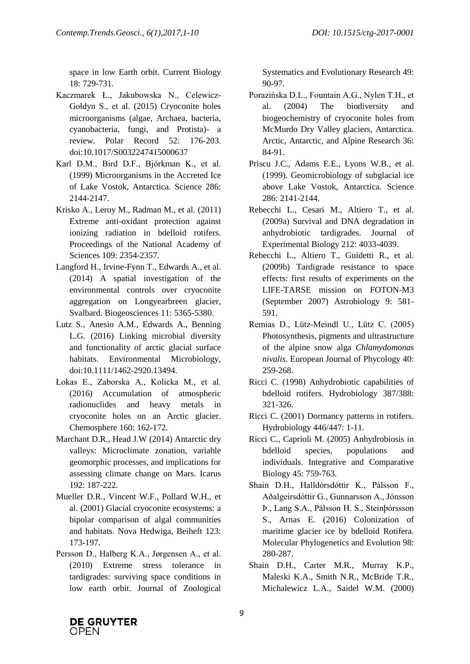space in low Earth orbit. Current Biology 18: 729-731.

- Kaczmarek Ł., Jakubowska N., Celewicz-Gołdyn S., et al. (2015) Cryoconite holes microorganisms (algae, Archaea, bacteria, cyanobacteria, fungi, and Protista)- a review. Polar Record 52: 176-203. doi:10.1017/S0032247415000637
- Karl D.M., Bird D.F., Björkman K., et al. (1999) Microorganisms in the Accreted Ice of Lake Vostok, Antarctica. Science 286: 2144-2147.
- Krisko A., Leroy M., Radman M., et al. (2011) Extreme anti-oxidant protection against ionizing radiation in bdelloid rotifers. Proceedings of the National Academy of Sciences 109: 2354-2357.
- Langford H., Irvine-Fynn T., Edwards A., et al. (2014) A spatial investigation of the environmental controls over cryoconite aggregation on Longyearbreen glacier, Svalbard. Biogeosciences 11: 5365-5380.
- Lutz S., Anesio A.M., Edwards A., Benning L.G. (2016) Linking microbial diversity and functionality of arctic glacial surface habitats. Environmental Microbiology, doi:10.1111/1462-2920.13494.
- Łokas E., Zaborska A., Kolicka M., et al. (2016) Accumulation of atmospheric radionuclides and heavy metals in cryoconite holes on an Arctic glacier. Chemosphere 160: 162-172.
- Marchant D.R., Head J.W (2014) Antarctic dry valleys: Microclimate zonation, variable geomorphic processes, and implications for assessing climate change on Mars. Icarus 192: 187-222.
- Mueller D.R., Vincent W.F., Pollard W.H., et al. (2001) Glacial cryoconite ecosystems: a bipolar comparison of algal communities and habitats. Nova Hedwiga, Beiheft 123: 173-197.
- Persson D., Halberg K.A., Jørgensen A., et al. (2010) Extreme stress tolerance in tardigrades: surviving space conditions in low earth orbit. Journal of Zoological

Systematics and Evolutionary Research 49: 90-97.

- Porazińska D.L., Fountain A.G., Nylen T.H., et al. (2004) The biodiversity and biogeochemistry of cryoconite holes from McMurdo Dry Valley glaciers, Antarctica. Arctic, Antarctic, and Alpine Research 36: 84-91.
- Priscu J.C., Adams E.E., Lyons W.B., et al. (1999). Geomicrobiology of subglacial ice above Lake Vostok, Antarctica. Science 286: 2141-2144.
- Rebecchi L., Cesari M., Altiero T., et al. (2009a) Survival and DNA degradation in anhydrobiotic tardigrades. Journal of Experimental Biology 212: 4033-4039.
- Rebecchi L., Altiero T., Guidetti R., et al. (2009b) Tardigrade resistance to space effects: first results of experiments on the LIFE-TARSE mission on FOTON-M3 (September 2007) Astrobiology 9: 581- 591.
- Remias D., Lütz-Meindl U., Lütz C. (2005) Photosynthesis, pigments and ultrastructure of the alpine snow alga *Chlamydomonas nivalis*. European Journal of Phycology 40: 259-268.
- Ricci C. (1998) Anhydrobiotic capabilities of bdelloid rotifers. Hydrobiology 387/388: 321-326.
- Ricci C. (2001) Dormancy patterns in rotifers. Hydrobiology 446/447: 1-11.
- Ricci C., Caprioli M. (2005) Anhydrobiosis in bdelloid species, populations and individuals. Integrative and Comparative Biology 45: 759-763.
- Shain D.H., Halldórsdóttir K., Pálsson F., Aðalgeirsdóttir G., Gunnarsson A., Jónsson Þ., Lang S.A., Pálsson H. S., Steinþórssson S., Arnas E. (2016) Colonization of maritime glacier ice by bdelloid Rotifera. Molecular Phylogenetics and Evolution 98: 280-287.
- Shain D.H., Carter M.R., Murray K.P., Maleski K.A., Smith N.R., McBride T.R., Michalewicz L.A., Saidel W.M. (2000)